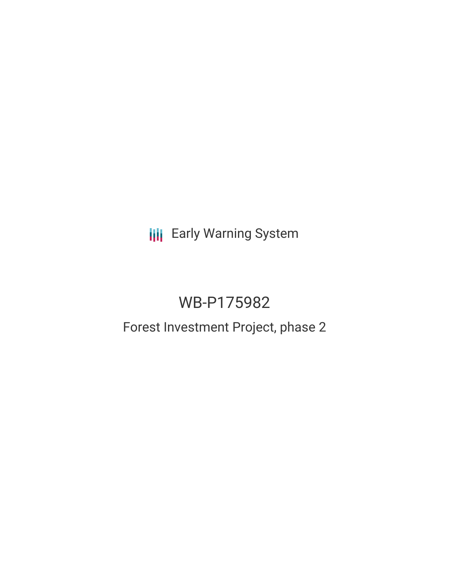**III** Early Warning System

# WB-P175982

## Forest Investment Project, phase 2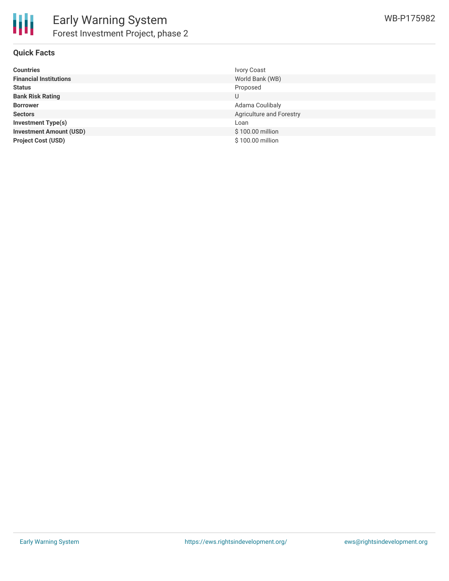

### **Quick Facts**

| <b>Countries</b>               | <b>Ivory Coast</b>       |
|--------------------------------|--------------------------|
| <b>Financial Institutions</b>  | World Bank (WB)          |
| <b>Status</b>                  | Proposed                 |
| <b>Bank Risk Rating</b>        | U                        |
| <b>Borrower</b>                | Adama Coulibaly          |
| <b>Sectors</b>                 | Agriculture and Forestry |
| <b>Investment Type(s)</b>      | Loan                     |
| <b>Investment Amount (USD)</b> | \$100.00 million         |
| <b>Project Cost (USD)</b>      | \$100.00 million         |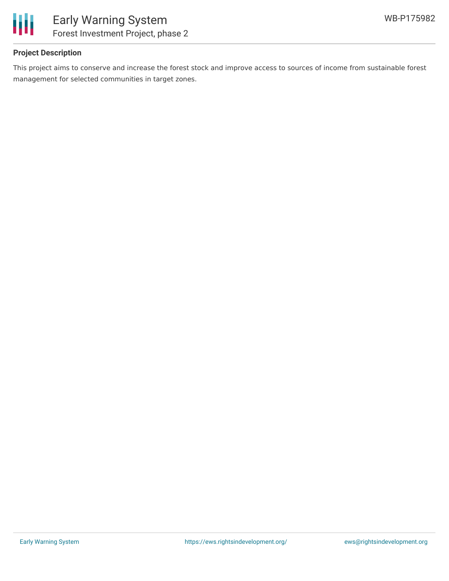

## **Project Description**

This project aims to conserve and increase the forest stock and improve access to sources of income from sustainable forest management for selected communities in target zones.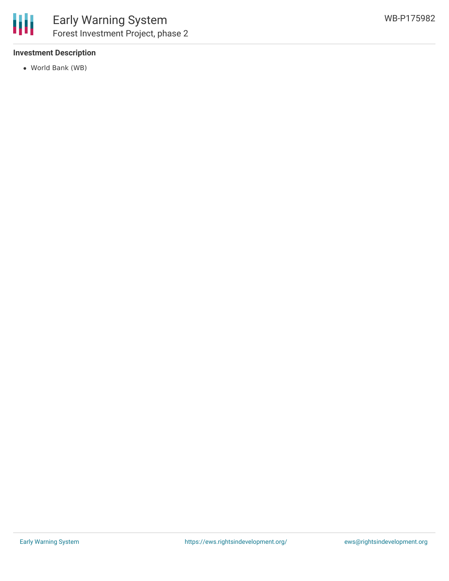

### **Investment Description**

World Bank (WB)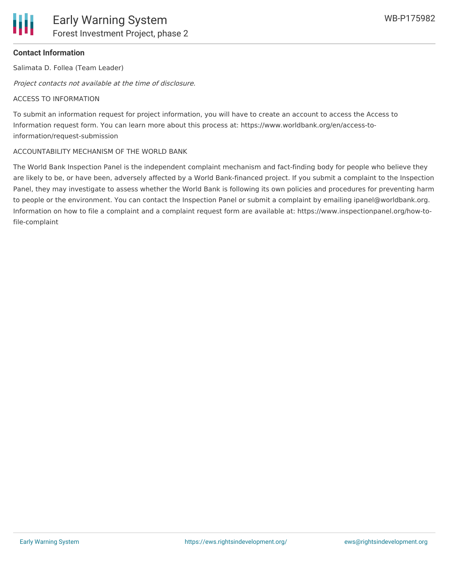## **Contact Information**

Salimata D. Follea (Team Leader)

Project contacts not available at the time of disclosure.

## ACCESS TO INFORMATION

To submit an information request for project information, you will have to create an account to access the Access to Information request form. You can learn more about this process at: https://www.worldbank.org/en/access-toinformation/request-submission

## ACCOUNTABILITY MECHANISM OF THE WORLD BANK

The World Bank Inspection Panel is the independent complaint mechanism and fact-finding body for people who believe they are likely to be, or have been, adversely affected by a World Bank-financed project. If you submit a complaint to the Inspection Panel, they may investigate to assess whether the World Bank is following its own policies and procedures for preventing harm to people or the environment. You can contact the Inspection Panel or submit a complaint by emailing ipanel@worldbank.org. Information on how to file a complaint and a complaint request form are available at: https://www.inspectionpanel.org/how-tofile-complaint